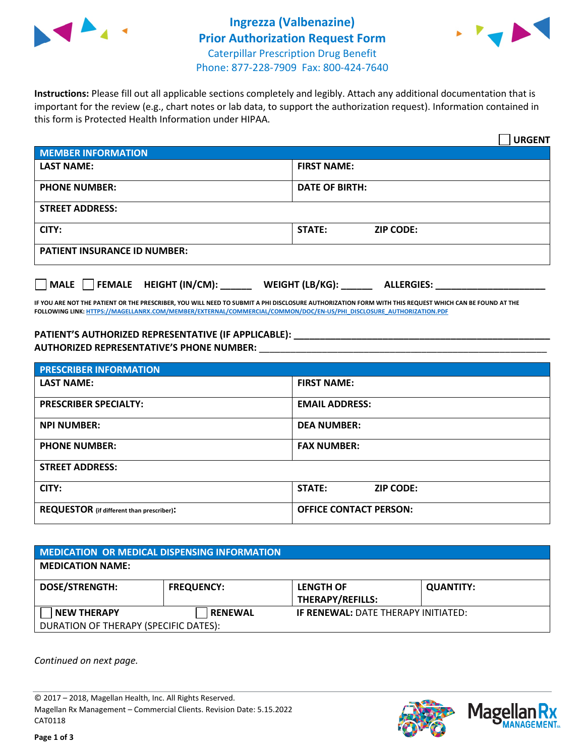



**Instructions:** Please fill out all applicable sections completely and legibly. Attach any additional documentation that is important for the review (e.g., chart notes or lab data, to support the authorization request). Information contained in this form is Protected Health Information under HIPAA.

|                                       | <b>URGENT</b>                        |  |  |  |
|---------------------------------------|--------------------------------------|--|--|--|
| <b>MEMBER INFORMATION</b>             |                                      |  |  |  |
| <b>LAST NAME:</b>                     | <b>FIRST NAME:</b>                   |  |  |  |
| <b>PHONE NUMBER:</b>                  | <b>DATE OF BIRTH:</b>                |  |  |  |
| <b>STREET ADDRESS:</b>                |                                      |  |  |  |
| CITY:                                 | <b>STATE:</b><br><b>ZIP CODE:</b>    |  |  |  |
| <b>PATIENT INSURANCE ID NUMBER:</b>   |                                      |  |  |  |
| FEMALE HEIGHT (IN/CM):<br><b>MALE</b> | WEIGHT (LB/KG):<br><b>ALLERGIES:</b> |  |  |  |

**IF YOU ARE NOT THE PATIENT OR THE PRESCRIBER, YOU WILL NEED TO SUBMIT A PHI DISCLOSURE AUTHORIZATION FORM WITH THIS REQUEST WHICH CAN BE FOUND AT THE FOLLOWING LINK[: HTTPS://MAGELLANRX.COM/MEMBER/EXTERNAL/COMMERCIAL/COMMON/DOC/EN-US/PHI\\_DISCLOSURE\\_AUTHORIZATION.PDF](https://magellanrx.com/member/external/commercial/common/doc/en-us/PHI_Disclosure_Authorization.pdf)**

**PATIENT'S AUTHORIZED REPRESENTATIVE (IF APPLICABLE): \_\_\_\_\_\_\_\_\_\_\_\_\_\_\_\_\_\_\_\_\_\_\_\_\_\_\_\_\_\_\_\_\_\_\_\_\_\_\_\_\_\_\_\_\_\_\_\_\_ AUTHORIZED REPRESENTATIVE'S PHONE NUMBER:** \_\_\_\_\_\_\_\_\_\_\_\_\_\_\_\_\_\_\_\_\_\_\_\_\_\_\_\_\_\_\_\_\_\_\_\_\_\_\_\_\_\_\_\_\_\_\_\_\_\_\_\_\_\_\_

| <b>PRESCRIBER INFORMATION</b>             |                               |  |  |  |
|-------------------------------------------|-------------------------------|--|--|--|
| <b>LAST NAME:</b>                         | <b>FIRST NAME:</b>            |  |  |  |
| <b>PRESCRIBER SPECIALTY:</b>              | <b>EMAIL ADDRESS:</b>         |  |  |  |
| <b>NPI NUMBER:</b>                        | <b>DEA NUMBER:</b>            |  |  |  |
| <b>PHONE NUMBER:</b>                      | <b>FAX NUMBER:</b>            |  |  |  |
| <b>STREET ADDRESS:</b>                    |                               |  |  |  |
| CITY:                                     | STATE:<br><b>ZIP CODE:</b>    |  |  |  |
| REQUESTOR (if different than prescriber): | <b>OFFICE CONTACT PERSON:</b> |  |  |  |

| <b>MEDICATION OR MEDICAL DISPENSING INFORMATION</b> |                   |                                            |                  |  |  |
|-----------------------------------------------------|-------------------|--------------------------------------------|------------------|--|--|
| <b>MEDICATION NAME:</b>                             |                   |                                            |                  |  |  |
| <b>DOSE/STRENGTH:</b>                               | <b>FREQUENCY:</b> | <b>LENGTH OF</b>                           | <b>QUANTITY:</b> |  |  |
|                                                     |                   | <b>THERAPY/REFILLS:</b>                    |                  |  |  |
| <b>NEW THERAPY</b>                                  | <b>RENEWAL</b>    | <b>IF RENEWAL: DATE THERAPY INITIATED:</b> |                  |  |  |
| DURATION OF THERAPY (SPECIFIC DATES):               |                   |                                            |                  |  |  |

*Continued on next page.*

© 2017 – 2018, Magellan Health, Inc. All Rights Reserved. Magellan Rx Management – Commercial Clients. Revision Date: 5.15.2022 CAT0118



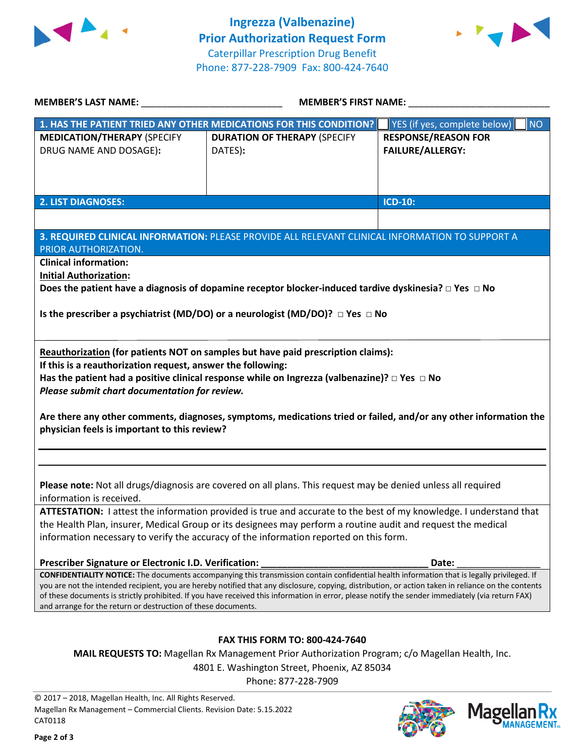



| <b>MEMBER'S LAST NAME:</b> NAME:                                                                                                                                                                                                                                                                        | <b>MEMBER'S FIRST NAME:</b>                                                                                                                 |                                     |  |  |
|---------------------------------------------------------------------------------------------------------------------------------------------------------------------------------------------------------------------------------------------------------------------------------------------------------|---------------------------------------------------------------------------------------------------------------------------------------------|-------------------------------------|--|--|
|                                                                                                                                                                                                                                                                                                         | 1. HAS THE PATIENT TRIED ANY OTHER MEDICATIONS FOR THIS CONDITION?                                                                          | YES (if yes, complete below)<br>NO. |  |  |
| <b>MEDICATION/THERAPY (SPECIFY</b>                                                                                                                                                                                                                                                                      | <b>DURATION OF THERAPY (SPECIFY</b>                                                                                                         | <b>RESPONSE/REASON FOR</b>          |  |  |
| DRUG NAME AND DOSAGE):                                                                                                                                                                                                                                                                                  | DATES):                                                                                                                                     | <b>FAILURE/ALLERGY:</b>             |  |  |
|                                                                                                                                                                                                                                                                                                         |                                                                                                                                             |                                     |  |  |
|                                                                                                                                                                                                                                                                                                         |                                                                                                                                             |                                     |  |  |
|                                                                                                                                                                                                                                                                                                         |                                                                                                                                             |                                     |  |  |
| <b>2. LIST DIAGNOSES:</b>                                                                                                                                                                                                                                                                               |                                                                                                                                             | <b>ICD-10:</b>                      |  |  |
|                                                                                                                                                                                                                                                                                                         |                                                                                                                                             |                                     |  |  |
|                                                                                                                                                                                                                                                                                                         | 3. REQUIRED CLINICAL INFORMATION: PLEASE PROVIDE ALL RELEVANT CLINICAL INFORMATION TO SUPPORT A                                             |                                     |  |  |
| PRIOR AUTHORIZATION.                                                                                                                                                                                                                                                                                    |                                                                                                                                             |                                     |  |  |
| <b>Clinical information:</b>                                                                                                                                                                                                                                                                            |                                                                                                                                             |                                     |  |  |
| <b>Initial Authorization:</b>                                                                                                                                                                                                                                                                           |                                                                                                                                             |                                     |  |  |
|                                                                                                                                                                                                                                                                                                         | Does the patient have a diagnosis of dopamine receptor blocker-induced tardive dyskinesia? $\Box$ Yes $\Box$ No                             |                                     |  |  |
|                                                                                                                                                                                                                                                                                                         |                                                                                                                                             |                                     |  |  |
|                                                                                                                                                                                                                                                                                                         | Is the prescriber a psychiatrist (MD/DO) or a neurologist (MD/DO)? $\Box$ Yes $\Box$ No                                                     |                                     |  |  |
|                                                                                                                                                                                                                                                                                                         |                                                                                                                                             |                                     |  |  |
|                                                                                                                                                                                                                                                                                                         |                                                                                                                                             |                                     |  |  |
|                                                                                                                                                                                                                                                                                                         | Reauthorization (for patients NOT on samples but have paid prescription claims):                                                            |                                     |  |  |
| If this is a reauthorization request, answer the following:                                                                                                                                                                                                                                             |                                                                                                                                             |                                     |  |  |
|                                                                                                                                                                                                                                                                                                         | Has the patient had a positive clinical response while on Ingrezza (valbenazine)? $\Box$ Yes $\Box$ No                                      |                                     |  |  |
| Please submit chart documentation for review.                                                                                                                                                                                                                                                           |                                                                                                                                             |                                     |  |  |
|                                                                                                                                                                                                                                                                                                         |                                                                                                                                             |                                     |  |  |
| Are there any other comments, diagnoses, symptoms, medications tried or failed, and/or any other information the                                                                                                                                                                                        |                                                                                                                                             |                                     |  |  |
| physician feels is important to this review?                                                                                                                                                                                                                                                            |                                                                                                                                             |                                     |  |  |
|                                                                                                                                                                                                                                                                                                         |                                                                                                                                             |                                     |  |  |
|                                                                                                                                                                                                                                                                                                         |                                                                                                                                             |                                     |  |  |
|                                                                                                                                                                                                                                                                                                         |                                                                                                                                             |                                     |  |  |
| Please note: Not all drugs/diagnosis are covered on all plans. This request may be denied unless all required                                                                                                                                                                                           |                                                                                                                                             |                                     |  |  |
| information is received.                                                                                                                                                                                                                                                                                |                                                                                                                                             |                                     |  |  |
| ATTESTATION: I attest the information provided is true and accurate to the best of my knowledge. I understand that                                                                                                                                                                                      |                                                                                                                                             |                                     |  |  |
| the Health Plan, insurer, Medical Group or its designees may perform a routine audit and request the medical                                                                                                                                                                                            |                                                                                                                                             |                                     |  |  |
| information necessary to verify the accuracy of the information reported on this form.                                                                                                                                                                                                                  |                                                                                                                                             |                                     |  |  |
|                                                                                                                                                                                                                                                                                                         |                                                                                                                                             |                                     |  |  |
| Prescriber Signature or Electronic I.D. Verification:                                                                                                                                                                                                                                                   |                                                                                                                                             | Date:                               |  |  |
|                                                                                                                                                                                                                                                                                                         | CONFIDENTIALITY NOTICE: The documents accompanying this transmission contain confidential health information that is legally privileged. If |                                     |  |  |
| you are not the intended recipient, you are hereby notified that any disclosure, copying, distribution, or action taken in reliance on the contents<br>of these documents is strictly prohibited. If you have received this information in error, please notify the sender immediately (via return FAX) |                                                                                                                                             |                                     |  |  |
| and arrange for the return or destruction of these documents.                                                                                                                                                                                                                                           |                                                                                                                                             |                                     |  |  |
|                                                                                                                                                                                                                                                                                                         |                                                                                                                                             |                                     |  |  |
|                                                                                                                                                                                                                                                                                                         |                                                                                                                                             |                                     |  |  |
| FAX THIS FORM TO: 800-424-7640                                                                                                                                                                                                                                                                          |                                                                                                                                             |                                     |  |  |
| <b>MAIL REQUESTS TO:</b> Magellan Rx Management Prior Authorization Program; c/o Magellan Health, Inc.                                                                                                                                                                                                  |                                                                                                                                             |                                     |  |  |
| 4801 E. Washington Street, Phoenix, AZ 85034                                                                                                                                                                                                                                                            |                                                                                                                                             |                                     |  |  |

Phone: 877-228-7909

© 2017 – 2018, Magellan Health, Inc. All Rights Reserved. Magellan Rx Management – Commercial Clients. Revision Date: 5.15.2022 CAT0118